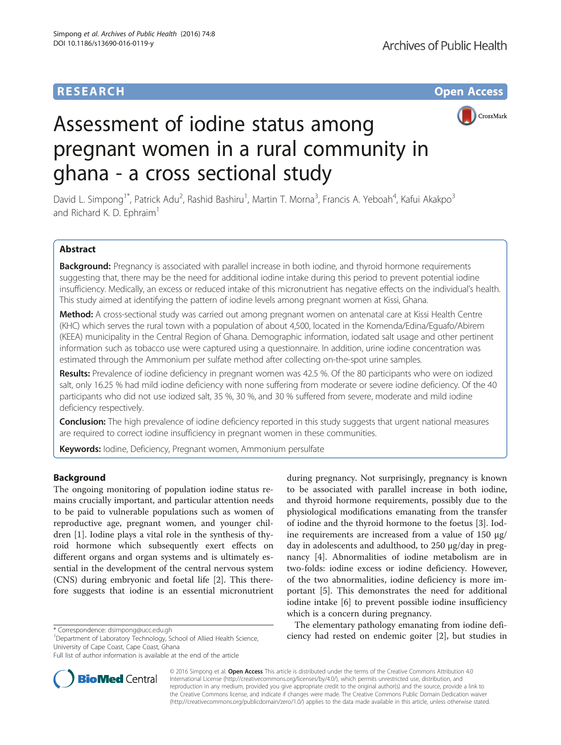# **RESEARCH CHE Open Access**



# Assessment of iodine status among pregnant women in a rural community in ghana - a cross sectional study

David L. Simpong<sup>1\*</sup>, Patrick Adu<sup>2</sup>, Rashid Bashiru<sup>1</sup>, Martin T. Morna<sup>3</sup>, Francis A. Yeboah<sup>4</sup>, Kafui Akakpo<sup>3</sup> and Richard K. D. Ephraim<sup>1</sup>

# Abstract

Background: Pregnancy is associated with parallel increase in both iodine, and thyroid hormone requirements suggesting that, there may be the need for additional iodine intake during this period to prevent potential iodine insufficiency. Medically, an excess or reduced intake of this micronutrient has negative effects on the individual's health. This study aimed at identifying the pattern of iodine levels among pregnant women at Kissi, Ghana.

Method: A cross-sectional study was carried out among pregnant women on antenatal care at Kissi Health Centre (KHC) which serves the rural town with a population of about 4,500, located in the Komenda/Edina/Eguafo/Abirem (KEEA) municipality in the Central Region of Ghana. Demographic information, iodated salt usage and other pertinent information such as tobacco use were captured using a questionnaire. In addition, urine iodine concentration was estimated through the Ammonium per sulfate method after collecting on-the-spot urine samples.

Results: Prevalence of iodine deficiency in pregnant women was 42.5 %. Of the 80 participants who were on iodized salt, only 16.25 % had mild iodine deficiency with none suffering from moderate or severe iodine deficiency. Of the 40 participants who did not use iodized salt, 35 %, 30 %, and 30 % suffered from severe, moderate and mild iodine deficiency respectively.

**Conclusion:** The high prevalence of iodine deficiency reported in this study suggests that urgent national measures are required to correct iodine insufficiency in pregnant women in these communities.

**Keywords:** Iodine, Deficiency, Pregnant women, Ammonium persulfate

## Background

The ongoing monitoring of population iodine status remains crucially important, and particular attention needs to be paid to vulnerable populations such as women of reproductive age, pregnant women, and younger children [[1\]](#page-3-0). Iodine plays a vital role in the synthesis of thyroid hormone which subsequently exert effects on different organs and organ systems and is ultimately essential in the development of the central nervous system (CNS) during embryonic and foetal life [[2\]](#page-3-0). This therefore suggests that iodine is an essential micronutrient

<sup>1</sup>Department of Laboratory Technology, School of Allied Health Science, University of Cape Coast, Cape Coast, Ghana



during pregnancy. Not surprisingly, pregnancy is known

The elementary pathology emanating from iodine deficorrespondence: [dsimpong@ucc.edu.gh](mailto:dsimpong@ucc.edu.gh)<br>
<sup>1</sup>Department of Laboratory Technology, School of Allied Health Science. **Ciency had rested on endemic goiter [\[2](#page-3-0)], but studies in** 



© 2016 Simpong et al. Open Access This article is distributed under the terms of the Creative Commons Attribution 4.0 International License [\(http://creativecommons.org/licenses/by/4.0/](http://creativecommons.org/licenses/by/4.0/)), which permits unrestricted use, distribution, and reproduction in any medium, provided you give appropriate credit to the original author(s) and the source, provide a link to the Creative Commons license, and indicate if changes were made. The Creative Commons Public Domain Dedication waiver [\(http://creativecommons.org/publicdomain/zero/1.0/](http://creativecommons.org/publicdomain/zero/1.0/)) applies to the data made available in this article, unless otherwise stated.

Full list of author information is available at the end of the article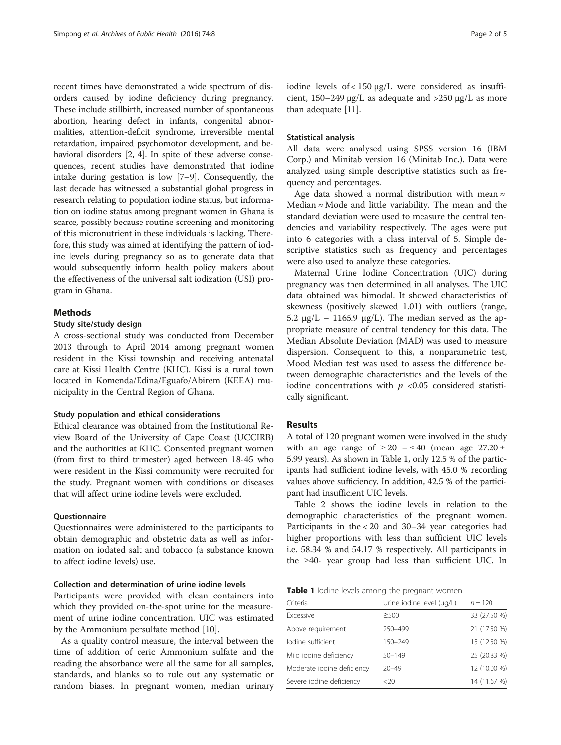recent times have demonstrated a wide spectrum of disorders caused by iodine deficiency during pregnancy. These include stillbirth, increased number of spontaneous abortion, hearing defect in infants, congenital abnormalities, attention-deficit syndrome, irreversible mental retardation, impaired psychomotor development, and behavioral disorders [[2](#page-3-0), [4](#page-3-0)]. In spite of these adverse consequences, recent studies have demonstrated that iodine intake during gestation is low [[7](#page-3-0)–[9](#page-3-0)]. Consequently, the last decade has witnessed a substantial global progress in research relating to population iodine status, but information on iodine status among pregnant women in Ghana is scarce, possibly because routine screening and monitoring of this micronutrient in these individuals is lacking. Therefore, this study was aimed at identifying the pattern of iodine levels during pregnancy so as to generate data that would subsequently inform health policy makers about the effectiveness of the universal salt iodization (USI) program in Ghana.

## Methods

## Study site/study design

A cross-sectional study was conducted from December 2013 through to April 2014 among pregnant women resident in the Kissi township and receiving antenatal care at Kissi Health Centre (KHC). Kissi is a rural town located in Komenda/Edina/Eguafo/Abirem (KEEA) municipality in the Central Region of Ghana.

#### Study population and ethical considerations

Ethical clearance was obtained from the Institutional Review Board of the University of Cape Coast (UCCIRB) and the authorities at KHC. Consented pregnant women (from first to third trimester) aged between 18-45 who were resident in the Kissi community were recruited for the study. Pregnant women with conditions or diseases that will affect urine iodine levels were excluded.

#### **Ouestionnaire**

Questionnaires were administered to the participants to obtain demographic and obstetric data as well as information on iodated salt and tobacco (a substance known to affect iodine levels) use.

## Collection and determination of urine iodine levels

Participants were provided with clean containers into which they provided on-the-spot urine for the measurement of urine iodine concentration. UIC was estimated by the Ammonium persulfate method [\[10\]](#page-4-0).

As a quality control measure, the interval between the time of addition of ceric Ammonium sulfate and the reading the absorbance were all the same for all samples, standards, and blanks so to rule out any systematic or random biases. In pregnant women, median urinary iodine levels of < 150 μg/L were considered as insufficient, 150–249 μg/L as adequate and  $>$ 250 μg/L as more than adequate [[11](#page-4-0)].

### Statistical analysis

All data were analysed using SPSS version 16 (IBM Corp.) and Minitab version 16 (Minitab Inc.). Data were analyzed using simple descriptive statistics such as frequency and percentages.

Age data showed a normal distribution with mean  $\approx$ Median ≈ Mode and little variability. The mean and the standard deviation were used to measure the central tendencies and variability respectively. The ages were put into 6 categories with a class interval of 5. Simple descriptive statistics such as frequency and percentages were also used to analyze these categories.

Maternal Urine Iodine Concentration (UIC) during pregnancy was then determined in all analyses. The UIC data obtained was bimodal. It showed characteristics of skewness (positively skewed 1.01) with outliers (range, 5.2  $\mu$ g/L – 1165.9  $\mu$ g/L). The median served as the appropriate measure of central tendency for this data. The Median Absolute Deviation (MAD) was used to measure dispersion. Consequent to this, a nonparametric test, Mood Median test was used to assess the difference between demographic characteristics and the levels of the iodine concentrations with  $p < 0.05$  considered statistically significant.

## Results

A total of 120 pregnant women were involved in the study with an age range of  $> 20$  –  $\leq 40$  (mean age 27.20 ± 5.99 years). As shown in Table 1, only 12.5 % of the participants had sufficient iodine levels, with 45.0 % recording values above sufficiency. In addition, 42.5 % of the participant had insufficient UIC levels.

Table [2](#page-2-0) shows the iodine levels in relation to the demographic characteristics of the pregnant women. Participants in the < 20 and 30–34 year categories had higher proportions with less than sufficient UIC levels i.e. 58.34 % and 54.17 % respectively. All participants in the ≥40- year group had less than sufficient UIC. In

| Table 1 lodine levels among the pregnant women |  |
|------------------------------------------------|--|
|------------------------------------------------|--|

| Criteria                   | Urine iodine level (µg/L) | $n = 120$    |  |
|----------------------------|---------------------------|--------------|--|
| Excessive                  | ≥500                      | 33 (27.50 %) |  |
| Above requirement          | 250-499                   | 21 (17.50 %) |  |
| lodine sufficient          | 150-249                   | 15 (12.50 %) |  |
| Mild iodine deficiency     | $50 - 149$                | 25 (20.83 %) |  |
| Moderate iodine deficiency | $20 - 49$                 | 12 (10.00 %) |  |
| Severe iodine deficiency   | $<$ 20                    | 14 (11.67 %) |  |
|                            |                           |              |  |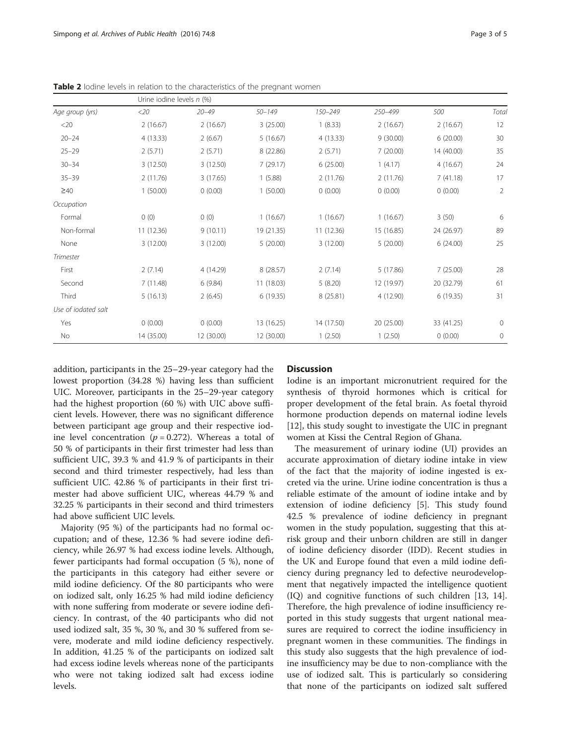|                     | Urine iodine levels $n$ (%) |            |            |            |            |            |                |
|---------------------|-----------------------------|------------|------------|------------|------------|------------|----------------|
| Age group (yrs)     | <20                         | $20 - 49$  | $50 - 149$ | 150-249    | 250-499    | 500        | Total          |
| $<$ 20              | 2(16.67)                    | 2(16.67)   | 3(25.00)   | 1(8.33)    | 2(16.67)   | 2(16.67)   | 12             |
| $20 - 24$           | 4(13.33)                    | 2(6.67)    | 5(16.67)   | 4(13.33)   | 9(30.00)   | 6(20.00)   | 30             |
| $25 - 29$           | 2(5.71)                     | 2(5.71)    | 8 (22.86)  | 2(5.71)    | 7(20.00)   | 14 (40.00) | 35             |
| $30 - 34$           | 3(12.50)                    | 3(12.50)   | 7(29.17)   | 6(25.00)   | 1(4.17)    | 4(16.67)   | 24             |
| $35 - 39$           | 2(11.76)                    | 3(17.65)   | 1(5.88)    | 2(11.76)   | 2(11.76)   | 7(41.18)   | 17             |
| $\geq 40$           | 1(50.00)                    | 0(0.00)    | 1(50.00)   | 0(0.00)    | 0(0.00)    | 0(0.00)    | $\overline{2}$ |
| Occupation          |                             |            |            |            |            |            |                |
| Formal              | 0(0)                        | 0(0)       | 1(16.67)   | 1(16.67)   | 1(16.67)   | 3(50)      | 6              |
| Non-formal          | 11 (12.36)                  | 9(10.11)   | 19 (21.35) | 11 (12.36) | 15 (16.85) | 24 (26.97) | 89             |
| None                | 3(12.00)                    | 3(12.00)   | 5(20.00)   | 3(12.00)   | 5(20.00)   | 6(24.00)   | 25             |
| Trimester           |                             |            |            |            |            |            |                |
| First               | 2(7.14)                     | 4 (14.29)  | 8(28.57)   | 2(7.14)    | 5(17.86)   | 7(25.00)   | 28             |
| Second              | 7(11.48)                    | 6(9.84)    | 11 (18.03) | 5(8.20)    | 12 (19.97) | 20 (32.79) | 61             |
| Third               | 5(16.13)                    | 2(6.45)    | 6(19.35)   | 8 (25.81)  | 4 (12.90)  | 6(19.35)   | 31             |
| Use of iodated salt |                             |            |            |            |            |            |                |
| Yes                 | 0(0.00)                     | 0(0.00)    | 13 (16.25) | 14 (17.50) | 20 (25.00) | 33 (41.25) | $\mathbf{0}$   |
| <b>No</b>           | 14 (35.00)                  | 12 (30.00) | 12 (30.00) | 1(2.50)    | 1(2.50)    | 0(0.00)    | 0              |

<span id="page-2-0"></span>Table 2 lodine levels in relation to the characteristics of the pregnant women

addition, participants in the 25–29-year category had the lowest proportion (34.28 %) having less than sufficient UIC. Moreover, participants in the 25–29-year category had the highest proportion (60 %) with UIC above sufficient levels. However, there was no significant difference between participant age group and their respective iodine level concentration ( $p = 0.272$ ). Whereas a total of 50 % of participants in their first trimester had less than sufficient UIC, 39.3 % and 41.9 % of participants in their second and third trimester respectively, had less than sufficient UIC. 42.86 % of participants in their first trimester had above sufficient UIC, whereas 44.79 % and 32.25 % participants in their second and third trimesters had above sufficient UIC levels.

Majority (95 %) of the participants had no formal occupation; and of these, 12.36 % had severe iodine deficiency, while 26.97 % had excess iodine levels. Although, fewer participants had formal occupation (5 %), none of the participants in this category had either severe or mild iodine deficiency. Of the 80 participants who were on iodized salt, only 16.25 % had mild iodine deficiency with none suffering from moderate or severe iodine deficiency. In contrast, of the 40 participants who did not used iodized salt, 35 %, 30 %, and 30 % suffered from severe, moderate and mild iodine deficiency respectively. In addition, 41.25 % of the participants on iodized salt had excess iodine levels whereas none of the participants who were not taking iodized salt had excess iodine levels.

## **Discussion**

Iodine is an important micronutrient required for the synthesis of thyroid hormones which is critical for proper development of the fetal brain. As foetal thyroid hormone production depends on maternal iodine levels [[12\]](#page-4-0), this study sought to investigate the UIC in pregnant women at Kissi the Central Region of Ghana.

The measurement of urinary iodine (UI) provides an accurate approximation of dietary iodine intake in view of the fact that the majority of iodine ingested is excreted via the urine. Urine iodine concentration is thus a reliable estimate of the amount of iodine intake and by extension of iodine deficiency [[5\]](#page-3-0). This study found 42.5 % prevalence of iodine deficiency in pregnant women in the study population, suggesting that this atrisk group and their unborn children are still in danger of iodine deficiency disorder (IDD). Recent studies in the UK and Europe found that even a mild iodine deficiency during pregnancy led to defective neurodevelopment that negatively impacted the intelligence quotient (IQ) and cognitive functions of such children [[13, 14](#page-4-0)]. Therefore, the high prevalence of iodine insufficiency reported in this study suggests that urgent national measures are required to correct the iodine insufficiency in pregnant women in these communities. The findings in this study also suggests that the high prevalence of iodine insufficiency may be due to non-compliance with the use of iodized salt. This is particularly so considering that none of the participants on iodized salt suffered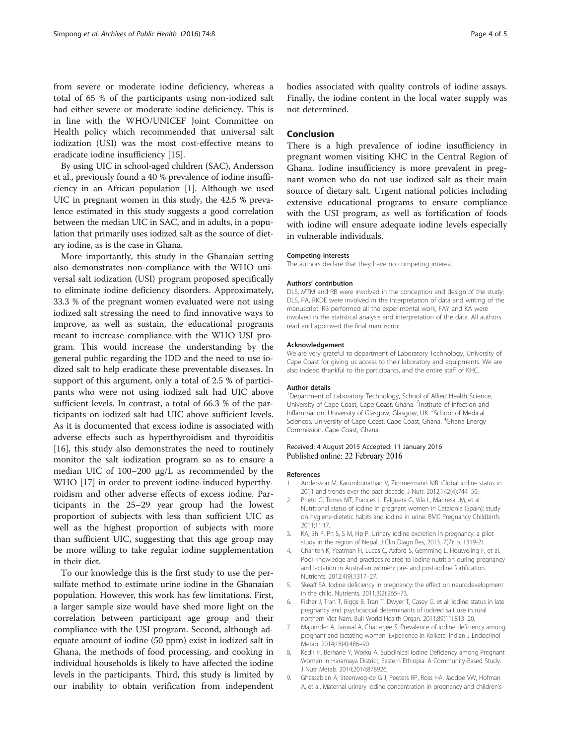<span id="page-3-0"></span>from severe or moderate iodine deficiency, whereas a total of 65 % of the participants using non-iodized salt had either severe or moderate iodine deficiency. This is in line with the WHO/UNICEF Joint Committee on Health policy which recommended that universal salt iodization (USI) was the most cost-effective means to eradicate iodine insufficiency [\[15](#page-4-0)].

By using UIC in school-aged children (SAC), Andersson et al., previously found a 40 % prevalence of iodine insufficiency in an African population [1]. Although we used UIC in pregnant women in this study, the 42.5 % prevalence estimated in this study suggests a good correlation between the median UIC in SAC, and in adults, in a population that primarily uses iodized salt as the source of dietary iodine, as is the case in Ghana.

More importantly, this study in the Ghanaian setting also demonstrates non-compliance with the WHO universal salt iodization (USI) program proposed specifically to eliminate iodine deficiency disorders. Approximately, 33.3 % of the pregnant women evaluated were not using iodized salt stressing the need to find innovative ways to improve, as well as sustain, the educational programs meant to increase compliance with the WHO USI program. This would increase the understanding by the general public regarding the IDD and the need to use iodized salt to help eradicate these preventable diseases. In support of this argument, only a total of 2.5 % of participants who were not using iodized salt had UIC above sufficient levels. In contrast, a total of 66.3 % of the participants on iodized salt had UIC above sufficient levels. As it is documented that excess iodine is associated with adverse effects such as hyperthyroidism and thyroiditis [[16\]](#page-4-0), this study also demonstrates the need to routinely monitor the salt iodization program so as to ensure a median UIC of 100–200 μg/L as recommended by the WHO [\[17\]](#page-4-0) in order to prevent iodine-induced hyperthyroidism and other adverse effects of excess iodine. Participants in the 25–29 year group had the lowest proportion of subjects with less than sufficient UIC as well as the highest proportion of subjects with more than sufficient UIC, suggesting that this age group may be more willing to take regular iodine supplementation in their diet.

To our knowledge this is the first study to use the persulfate method to estimate urine iodine in the Ghanaian population. However, this work has few limitations. First, a larger sample size would have shed more light on the correlation between participant age group and their compliance with the USI program. Second, although adequate amount of iodine (50 ppm) exist in iodized salt in Ghana, the methods of food processing, and cooking in individual households is likely to have affected the iodine levels in the participants. Third, this study is limited by our inability to obtain verification from independent bodies associated with quality controls of iodine assays. Finally, the iodine content in the local water supply was not determined.

#### Conclusion

There is a high prevalence of iodine insufficiency in pregnant women visiting KHC in the Central Region of Ghana. Iodine insufficiency is more prevalent in pregnant women who do not use iodized salt as their main source of dietary salt. Urgent national policies including extensive educational programs to ensure compliance with the USI program, as well as fortification of foods with iodine will ensure adequate iodine levels especially in vulnerable individuals.

#### Competing interests

The authors declare that they have no competing interest.

#### Authors' contribution

DLS, MTM and RB were involved in the conception and design of the study; DLS, PA, RKDE were involved in the interpretation of data and writing of the manuscript, RB performed all the experimental work, FAY and KA were involved in the statistical analysis and interpretation of the data. All authors read and approved the final manuscript.

#### Acknowledgement

We are very grateful to department of Laboratory Technology, University of Cape Coast for giving us access to their laboratory and equipments. We are also indeed thankful to the participants, and the entire staff of KHC.

#### Author details

<sup>1</sup>Department of Laboratory Technology, School of Allied Health Science, University of Cape Coast, Cape Coast, Ghana. <sup>2</sup>Institute of Infection and Inflammation, University of Glasgow, Glasgow, UK.<sup>3</sup> School of Medical Sciences, University of Cape Coast, Cape Coast, Ghana. <sup>4</sup>Ghana Energy Commission, Cape Coast, Ghana.

#### Received: 4 August 2015 Accepted: 11 January 2016 Published online: 22 February 2016

#### References

- 1. Andersson M, Karumbunathan V, Zimmermann MB. Global iodine status in 2011 and trends over the past decade. J Nutr. 2012;142(4):744–50.
- Prieto G, Torres MT, Frances L, Falguera G, Vila L, Manresa JM, et al. Nutritional status of iodine in pregnant women in Catalonia (Spain): study on hygiene-dietetic habits and iodine in urine. BMC Pregnancy Childbirth. 2011;11:17.
- 3. KA, Bh P, Pn S, S M, Hp P. Urinary iodine excretion in pregnancy: a pilot study in the region of Nepal. J Clin Diagn Res, 2013. 7(7): p. 1319-21.
- 4. Charlton K, Yeatman H, Lucas C, Axford S, Gemming L, Houweling F, et al. Poor knowledge and practices related to iodine nutrition during pregnancy and lactation in Australian women: pre- and post-iodine fortification. Nutrients. 2012;4(9):1317–27.
- 5. Skeaff SA. Iodine deficiency in pregnancy: the effect on neurodevelopment in the child. Nutrients. 2011;3(2):265–73.
- 6. Fisher J, Tran T, Biggs B, Tran T, Dwyer T, Casey G, et al. Iodine status in late pregnancy and psychosocial determinants of iodized salt use in rural northern Viet Nam. Bull World Health Organ. 2011;89(11):813–20.
- 7. Majumder A, Jaiswal A, Chatterjee S. Prevalence of iodine deficiency among pregnant and lactating women: Experience in Kolkata. Indian J Endocrinol Metab. 2014;18(4):486–90.
- 8. Kedir H, Berhane Y, Worku A. Subclinical Iodine Deficiency among Pregnant Women in Haramaya District, Eastern Ethiopia: A Community-Based Study. J Nutr Metab. 2014;2014:878926.
- 9. Ghassabian A, Steenweg-de G J, Peeters RP, Ross HA, Jaddoe VW, Hofman A, et al. Maternal urinary iodine concentration in pregnancy and children's